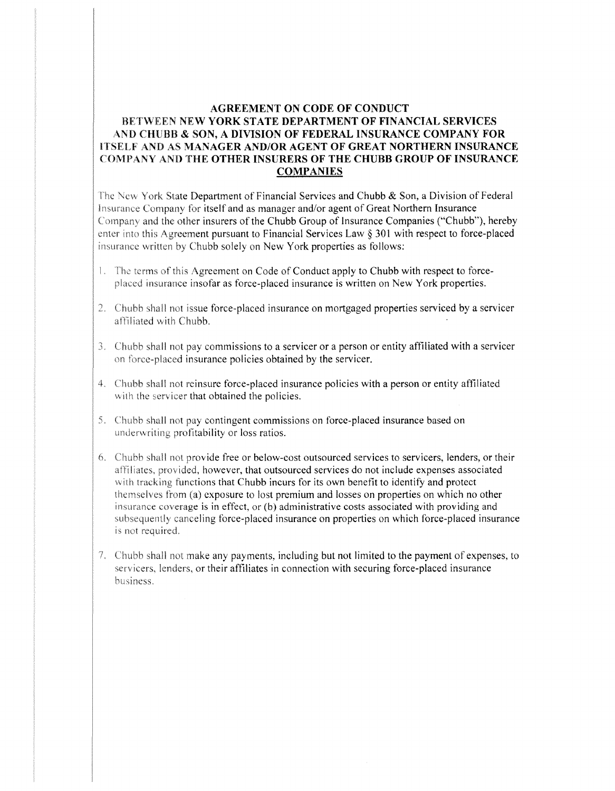## **AGREEMENT ON CODE OF CONDUCT** BETWEEN NEW YORK STATE DEPARTMENT OF FINANCIAL SERVICES AND CHUBB & **SON, A DIVISION OF FEDERAL INSURANCE COMPANY FOR** ITSELF AND AS **MANAGER AND/OR AGENT OF GREAT NORTHERN INSURANCE COMPANY AND THE OTHER INSURERS OF THE CHUBB GROUP OF INSURANCE COMPANIES**

this Agreement pursuant to Financial Services Law § 301 with respect to force-placed The New York State Department of Financial Services and Chubb & Son, a Division of Federal Insurance Company for itself and as manager and/or agent of Great Northern Insurance Company and the other insurers of the Chubb Group of Insurance Companies ("Chubb"), hereby insurance written by Chubb solely on New York properties as follows:

- 1. The terms of this Agreement on Code of Conduct apply to Chubb with respect to forceplaced insurance insofar as force-placed insurance is written on New York properties.
- affiliated with Chubb. 2. Chubb shall not issue force-placed insurance on mortgaged properties serviced by a servicer
- 3. Chubb shall not pay commissions to a servicer or a person or entity affiliated with a servicer on force-placed insurance policies obtained by the servicer.
- 4. Chubb shall not reinsure force-placed insurance policies with a person or entity affiliated with the servicer that obtained the policies.
- underwriting profitability or loss ratios. 5. Chubb shall not pay contingent commissions on force-placed insurance based on
- 6. Chubb shall not provide free or below-cost outsourced services to servicers, lenders, or their affiliates, provided, however, that outsourced services do not include expenses associated with tracking functions that Chubb incurs for its own benefit to identify and protect themselves from (a) exposure to lost premium and losses on properties on which no other insurance coverage is in effect, or (b) administrative costs associated with providing and subsequently canceling force-placed insurance on properties on which force-placed insurance is not required.
- 7. Chubb shall not make any payments, including but not limited to the payment of expenses, to servicers, lenders, or their affiliates in connection with securing force-placed insurance husiness.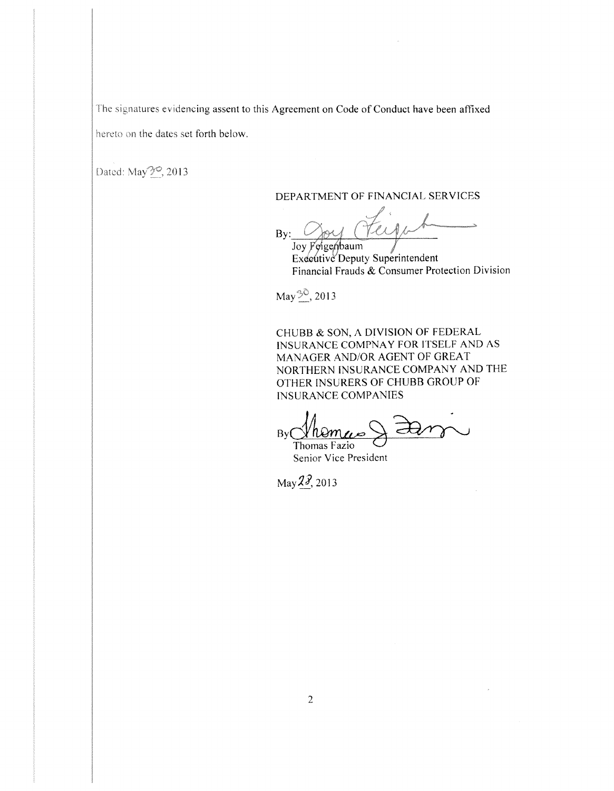The signatures evidencing assent to this Agreement on Code of Conduct have been affixed hereto on the dates set forth below.

Dated: May ???, 2013

DEPARTMENT OF FINANCIAL SERVICES

 $By:$ Joy Feigenbaum

**Executive Deputy Superintendent** Financial Frauds & Consumer Protection Division

May  $\frac{30}{2}$ , 2013

CHUBB & SON, A DfVISION OF FEDERAL INSURANCE COMPNAY FOR ITSELF AND AS MANAGER AND/OR AGENT OF GREAT NORTHERN INSURANCE COMPANY AND THE OTHER INSURERS OF CHUBB GROUP OF INSURANCE COMPANIES

 $By  $\frac{\sqrt{h \omega}}{h}$$ 

Senior Vice President

May 23, 2013